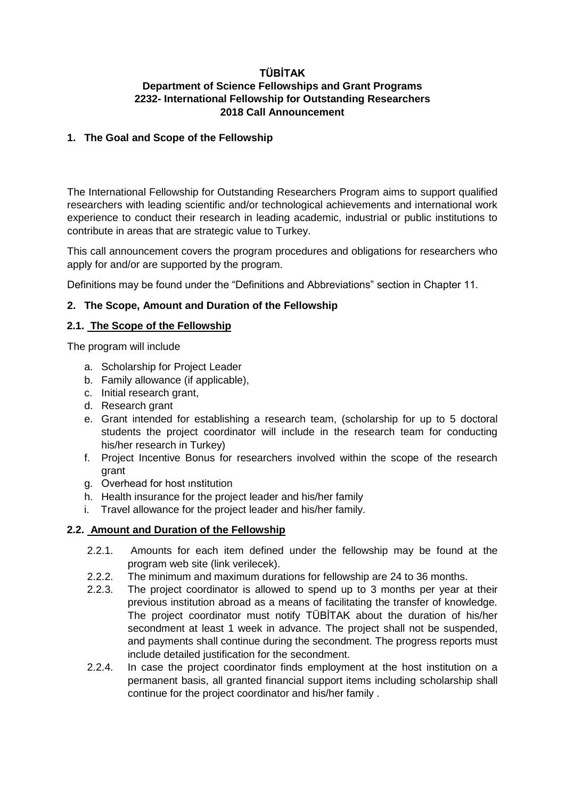## **TÜBİTAK Department of Science Fellowships and Grant Programs 2232- International Fellowship for Outstanding Researchers 2018 Call Announcement**

## **1. The Goal and Scope of the Fellowship**

The International Fellowship for Outstanding Researchers Program aims to support qualified researchers with leading scientific and/or technological achievements and international work experience to conduct their research in leading academic, industrial or public institutions to contribute in areas that are strategic value to Turkey.

This call announcement covers the program procedures and obligations for researchers who apply for and/or are supported by the program.

Definitions may be found under the "Definitions and Abbreviations" section in Chapter 11.

## **2. The Scope, Amount and Duration of the Fellowship**

## **2.1. The Scope of the Fellowship**

The program will include

- a. Scholarship for Project Leader
- b. Family allowance (if applicable),
- c. Initial research grant,
- d. Research grant
- e. Grant intended for establishing a research team, (scholarship for up to 5 doctoral students the project coordinator will include in the research team for conducting his/her research in Turkey)
- f. Project Incentive Bonus for researchers involved within the scope of the research grant
- g. Overhead for host ınstitution
- h. Health insurance for the project leader and his/her family
- i. Travel allowance for the project leader and his/her family.

# **2.2. Amount and Duration of the Fellowship**

- 2.2.1. Amounts for each item defined under the fellowship may be found at the [program web site](http://www.tubitak.gov.tr/tr/burslar/doktora-sonrasi/burs-programlari/2232/icerik-odeme) (link verilecek).
- 2.2.2. The minimum and maximum durations for fellowship are 24 to 36 months.
- 2.2.3. The project coordinator is allowed to spend up to 3 months per year at their previous institution abroad as a means of facilitating the transfer of knowledge. The project coordinator must notify TÜBİTAK about the duration of his/her secondment at least 1 week in advance. The project shall not be suspended, and payments shall continue during the secondment. The progress reports must include detailed justification for the secondment.
- 2.2.4. In case the project coordinator finds employment at the host institution on a permanent basis, all granted financial support items including scholarship shall continue for the project coordinator and his/her family .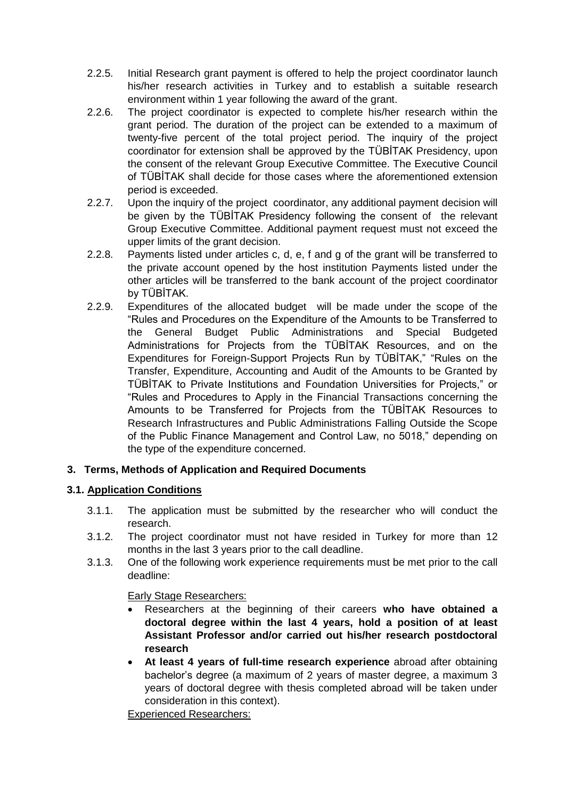- 2.2.5. Initial Research grant payment is offered to help the project coordinator launch his/her research activities in Turkey and to establish a suitable research environment within 1 year following the award of the grant.
- 2.2.6. The project coordinator is expected to complete his/her research within the grant period. The duration of the project can be extended to a maximum of twenty-five percent of the total project period. The inquiry of the project coordinator for extension shall be approved by the TÜBİTAK Presidency, upon the consent of the relevant Group Executive Committee. The Executive Council of TÜBİTAK shall decide for those cases where the aforementioned extension period is exceeded.
- 2.2.7. Upon the inquiry of the project coordinator, any additional payment decision will be given by the TÜBİTAK Presidency following the consent of the relevant Group Executive Committee. Additional payment request must not exceed the upper limits of the grant decision.
- 2.2.8. Payments listed under articles c, d, e, f and g of the grant will be transferred to the private account opened by the host institution Payments listed under the other articles will be transferred to the bank account of the project coordinator by TÜBİTAK.
- 2.2.9. Expenditures of the allocated budget will be made under the scope of the "Rules and Procedures on the Expenditure of the Amounts to be Transferred to the General Budget Public Administrations and Special Budgeted Administrations for Projects from the TÜBİTAK Resources, and on the Expenditures for Foreign-Support Projects Run by TÜBİTAK," "Rules on the Transfer, Expenditure, Accounting and Audit of the Amounts to be Granted by TÜBİTAK to Private Institutions and Foundation Universities for Projects," or "Rules and Procedures to Apply in the Financial Transactions concerning the Amounts to be Transferred for Projects from the TÜBİTAK Resources to Research Infrastructures and Public Administrations Falling Outside the Scope of the Public Finance Management and Control Law, no 5018," depending on the type of the expenditure concerned.

# **3. Terms, Methods of Application and Required Documents**

# **3.1. Application Conditions**

- 3.1.1. The application must be submitted by the researcher who will conduct the research.
- 3.1.2. The project coordinator must not have resided in Turkey for more than 12 months in the last 3 years prior to the call deadline.
- 3.1.3. One of the following work experience requirements must be met prior to the call deadline:

### Early Stage Researchers:

- Researchers at the beginning of their careers **who have obtained a doctoral degree within the last 4 years, hold a position of at least Assistant Professor and/or carried out his/her research postdoctoral research**
- **At least 4 years of full-time research experience** abroad after obtaining bachelor's degree (a maximum of 2 years of master degree, a maximum 3 years of doctoral degree with thesis completed abroad will be taken under consideration in this context).

Experienced Researchers: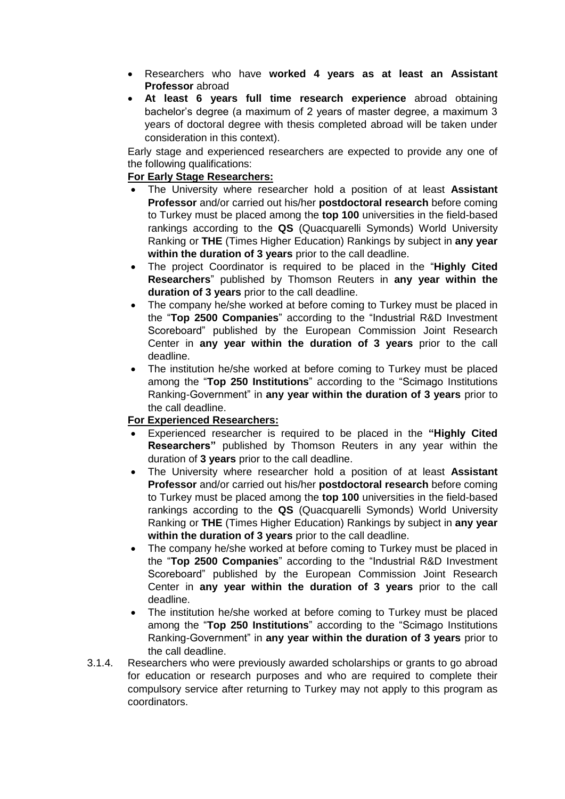- Researchers who have **worked 4 years as at least an Assistant Professor** abroad
- **At least 6 years full time research experience** abroad obtaining bachelor's degree (a maximum of 2 years of master degree, a maximum 3 years of doctoral degree with thesis completed abroad will be taken under consideration in this context).

Early stage and experienced researchers are expected to provide any one of the following qualifications:

# **For Early Stage Researchers:**

- The University where researcher hold a position of at least **Assistant Professor** and/or carried out his/her **postdoctoral research** before coming to Turkey must be placed among the **top 100** universities in the field-based rankings according to the **QS** (Quacquarelli Symonds) World University Ranking or **THE** (Times Higher Education) Rankings by subject in **any year within the duration of 3 years** prior to the call deadline.
- The project Coordinator is required to be placed in the "**Highly Cited Researchers**" published by Thomson Reuters in **any year within the duration of 3 years** prior to the call deadline.
- The company he/she worked at before coming to Turkey must be placed in the "**Top 2500 Companies**" according to the "Industrial R&D Investment Scoreboard" published by the European Commission Joint Research Center in **any year within the duration of 3 years** prior to the call deadline.
- The institution he/she worked at before coming to Turkey must be placed among the "**Top 250 Institutions**" according to the "Scimago Institutions Ranking-Government" in **any year within the duration of 3 years** prior to the call deadline.

# **For Experienced Researchers:**

- Experienced researcher is required to be placed in the **"Highly Cited Researchers"** published by Thomson Reuters in any year within the duration of **3 years** prior to the call deadline.
- The University where researcher hold a position of at least **Assistant Professor** and/or carried out his/her **postdoctoral research** before coming to Turkey must be placed among the **top 100** universities in the field-based rankings according to the **QS** (Quacquarelli Symonds) World University Ranking or **THE** (Times Higher Education) Rankings by subject in **any year within the duration of 3 years** prior to the call deadline.
- The company he/she worked at before coming to Turkey must be placed in the "**Top 2500 Companies**" according to the "Industrial R&D Investment Scoreboard" published by the European Commission Joint Research Center in **any year within the duration of 3 years** prior to the call deadline.
- The institution he/she worked at before coming to Turkey must be placed among the "**Top 250 Institutions**" according to the "Scimago Institutions Ranking-Government" in **any year within the duration of 3 years** prior to the call deadline.
- 3.1.4. Researchers who were previously awarded scholarships or grants to go abroad for education or research purposes and who are required to complete their compulsory service after returning to Turkey may not apply to this program as coordinators.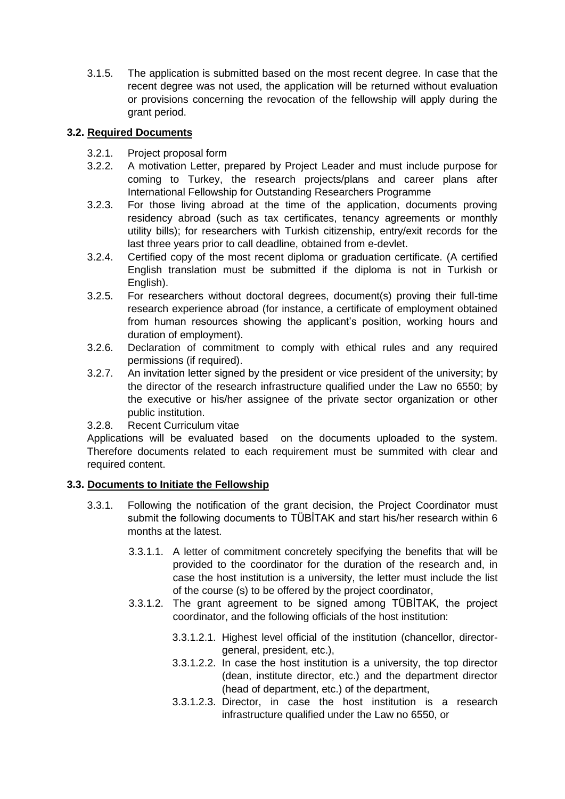3.1.5. The application is submitted based on the most recent degree. In case that the recent degree was not used, the application will be returned without evaluation or provisions concerning the revocation of the fellowship will apply during the grant period.

## **3.2. Required Documents**

- 3.2.1. Project proposal form
- 3.2.2. A motivation Letter, prepared by Project Leader and must include purpose for coming to Turkey, the research projects/plans and career plans after International Fellowship for Outstanding Researchers Programme
- 3.2.3. For those living abroad at the time of the application, documents proving residency abroad (such as tax certificates, tenancy agreements or monthly utility bills); for researchers with Turkish citizenship, entry/exit records for the last three years prior to call deadline, obtained from e-devlet.
- 3.2.4. Certified copy of the most recent diploma or graduation certificate. (A certified English translation must be submitted if the diploma is not in Turkish or English).
- 3.2.5. For researchers without doctoral degrees, document(s) proving their full-time research experience abroad (for instance, a certificate of employment obtained from human resources showing the applicant's position, working hours and duration of employment).
- 3.2.6. Declaration of commitment to comply with ethical rules and any required permissions (if required).
- 3.2.7. An invitation letter signed by the president or vice president of the university; by the director of the research infrastructure qualified under the Law no 6550; by the executive or his/her assignee of the private sector organization or other public institution.
- 3.2.8. Recent Curriculum vitae

Applications will be evaluated based on the documents uploaded to the system. Therefore documents related to each requirement must be summited with clear and required content.

### **3.3. Documents to Initiate the Fellowship**

- 3.3.1. Following the notification of the grant decision, the Project Coordinator must submit the following documents to TÜBİTAK and start his/her research within 6 months at the latest.
	- 3.3.1.1. A letter of commitment concretely specifying the benefits that will be provided to the coordinator for the duration of the research and, in case the host institution is a university, the letter must include the list of the course (s) to be offered by the project coordinator,
	- 3.3.1.2. The grant agreement to be signed among TÜBİTAK, the project coordinator, and the following officials of the host institution:
		- 3.3.1.2.1. Highest level official of the institution (chancellor, directorgeneral, president, etc.),
		- 3.3.1.2.2. In case the host institution is a university, the top director (dean, institute director, etc.) and the department director (head of department, etc.) of the department,
		- 3.3.1.2.3. Director, in case the host institution is a research infrastructure qualified under the Law no 6550, or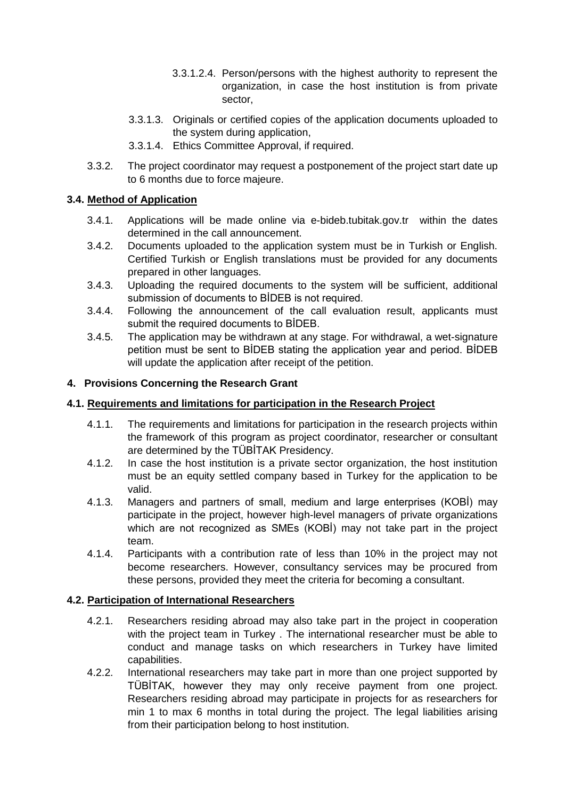- 3.3.1.2.4. Person/persons with the highest authority to represent the organization, in case the host institution is from private sector,
- 3.3.1.3. Originals or certified copies of the application documents uploaded to the system during application,
- 3.3.1.4. Ethics Committee Approval, if required.
- 3.3.2. The project coordinator may request a postponement of the project start date up to 6 months due to force majeure.

# **3.4. Method of Application**

- 3.4.1. Applications will be made online via e-bideb.tubitak.gov.tr within the dates determined in the call announcement.
- 3.4.2. Documents uploaded to the application system must be in Turkish or English. Certified Turkish or English translations must be provided for any documents prepared in other languages.
- 3.4.3. Uploading the required documents to the system will be sufficient, additional submission of documents to BIDEB is not required.
- 3.4.4. Following the announcement of the call evaluation result, applicants must submit the required documents to BİDEB.
- 3.4.5. The application may be withdrawn at any stage. For withdrawal, a wet-signature petition must be sent to BİDEB stating the application year and period. BİDEB will update the application after receipt of the petition.

## **4. Provisions Concerning the Research Grant**

## **4.1. Requirements and limitations for participation in the Research Project**

- 4.1.1. The requirements and limitations for participation in the research projects within the framework of this program as project coordinator, researcher or consultant are determined by the TÜBİTAK Presidency.
- 4.1.2. In case the host institution is a private sector organization, the host institution must be an equity settled company based in Turkey for the application to be valid.
- 4.1.3. Managers and partners of small, medium and large enterprises (KOBİ) may participate in the project, however high-level managers of private organizations which are not recognized as SMEs (KOBI) may not take part in the project team.
- 4.1.4. Participants with a contribution rate of less than 10% in the project may not become researchers. However, consultancy services may be procured from these persons, provided they meet the criteria for becoming a consultant.

### **4.2. Participation of International Researchers**

- 4.2.1. Researchers residing abroad may also take part in the project in cooperation with the project team in Turkey . The international researcher must be able to conduct and manage tasks on which researchers in Turkey have limited capabilities.
- 4.2.2. International researchers may take part in more than one project supported by TÜBİTAK, however they may only receive payment from one project. Researchers residing abroad may participate in projects for as researchers for min 1 to max 6 months in total during the project. The legal liabilities arising from their participation belong to host institution.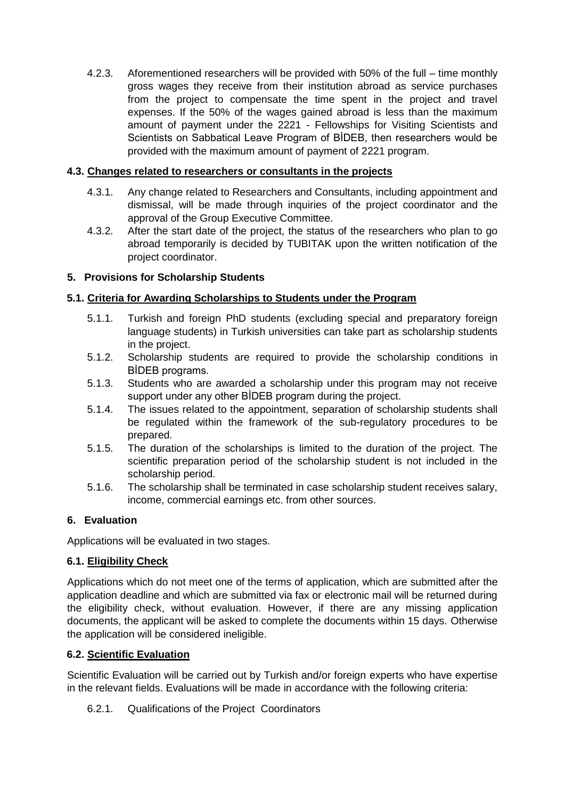4.2.3. Aforementioned researchers will be provided with 50% of the full – time monthly gross wages they receive from their institution abroad as service purchases from the project to compensate the time spent in the project and travel expenses. If the 50% of the wages gained abroad is less than the maximum amount of payment under the 2221 - Fellowships for Visiting Scientists and Scientists on Sabbatical Leave Program of BİDEB, then researchers would be provided with the maximum amount of payment of 2221 program.

# **4.3. Changes related to researchers or consultants in the projects**

- 4.3.1. Any change related to Researchers and Consultants, including appointment and dismissal, will be made through inquiries of the project coordinator and the approval of the Group Executive Committee.
- 4.3.2. After the start date of the project, the status of the researchers who plan to go abroad temporarily is decided by TUBITAK upon the written notification of the project coordinator.

# **5. Provisions for Scholarship Students**

# **5.1. Criteria for Awarding Scholarships to Students under the Program**

- 5.1.1. Turkish and foreign PhD students (excluding special and preparatory foreign language students) in Turkish universities can take part as scholarship students in the project.
- 5.1.2. Scholarship students are required to provide the scholarship conditions in BİDEB programs.
- 5.1.3. Students who are awarded a scholarship under this program may not receive support under any other BİDEB program during the project.
- 5.1.4. The issues related to the appointment, separation of scholarship students shall be regulated within the framework of the sub-regulatory procedures to be prepared.
- 5.1.5. The duration of the scholarships is limited to the duration of the project. The scientific preparation period of the scholarship student is not included in the scholarship period.
- 5.1.6. The scholarship shall be terminated in case scholarship student receives salary, income, commercial earnings etc. from other sources.

# **6. Evaluation**

Applications will be evaluated in two stages.

# **6.1. Eligibility Check**

Applications which do not meet one of the terms of application, which are submitted after the application deadline and which are submitted via fax or electronic mail will be returned during the eligibility check, without evaluation. However, if there are any missing application documents, the applicant will be asked to complete the documents within 15 days. Otherwise the application will be considered ineligible.

# **6.2. Scientific Evaluation**

Scientific Evaluation will be carried out by Turkish and/or foreign experts who have expertise in the relevant fields. Evaluations will be made in accordance with the following criteria:

6.2.1. Qualifications of the Project Coordinators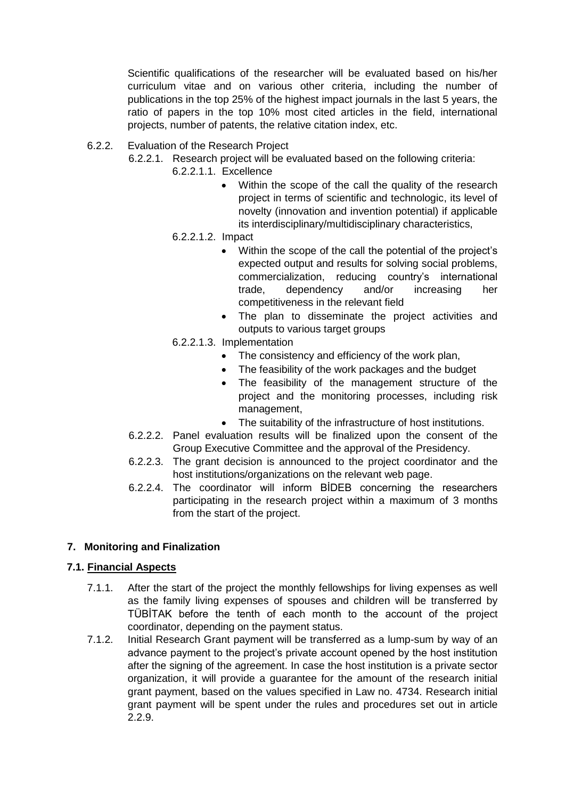Scientific qualifications of the researcher will be evaluated based on his/her curriculum vitae and on various other criteria, including the number of publications in the top 25% of the highest impact journals in the last 5 years, the ratio of papers in the top 10% most cited articles in the field, international projects, number of patents, the relative citation index, etc.

- 6.2.2. Evaluation of the Research Project
	- 6.2.2.1. Research project will be evaluated based on the following criteria:
		- 6.2.2.1.1. Excellence
			- Within the scope of the call the quality of the research project in terms of scientific and technologic, its level of novelty (innovation and invention potential) if applicable its interdisciplinary/multidisciplinary characteristics,
		- 6.2.2.1.2. Impact
			- Within the scope of the call the potential of the project's expected output and results for solving social problems, commercialization, reducing country's international trade, dependency and/or increasing her competitiveness in the relevant field
			- The plan to disseminate the project activities and outputs to various target groups
		- 6.2.2.1.3. Implementation
			- The consistency and efficiency of the work plan,
			- The feasibility of the work packages and the budget
			- The feasibility of the management structure of the project and the monitoring processes, including risk management,
			- The suitability of the infrastructure of host institutions.
	- 6.2.2.2. Panel evaluation results will be finalized upon the consent of the Group Executive Committee and the approval of the Presidency.
	- 6.2.2.3. The grant decision is announced to the project coordinator and the host institutions/organizations on the relevant web page.
	- 6.2.2.4. The coordinator will inform BİDEB concerning the researchers participating in the research project within a maximum of 3 months from the start of the project.

# **7. Monitoring and Finalization**

### **7.1. Financial Aspects**

- 7.1.1. After the start of the project the monthly fellowships for living expenses as well as the family living expenses of spouses and children will be transferred by TÜBİTAK before the tenth of each month to the account of the project coordinator, depending on the payment status.
- 7.1.2. Initial Research Grant payment will be transferred as a lump-sum by way of an advance payment to the project's private account opened by the host institution after the signing of the agreement. In case the host institution is a private sector organization, it will provide a guarantee for the amount of the research initial grant payment, based on the values specified in Law no. 4734. Research initial grant payment will be spent under the rules and procedures set out in article 2.2.9.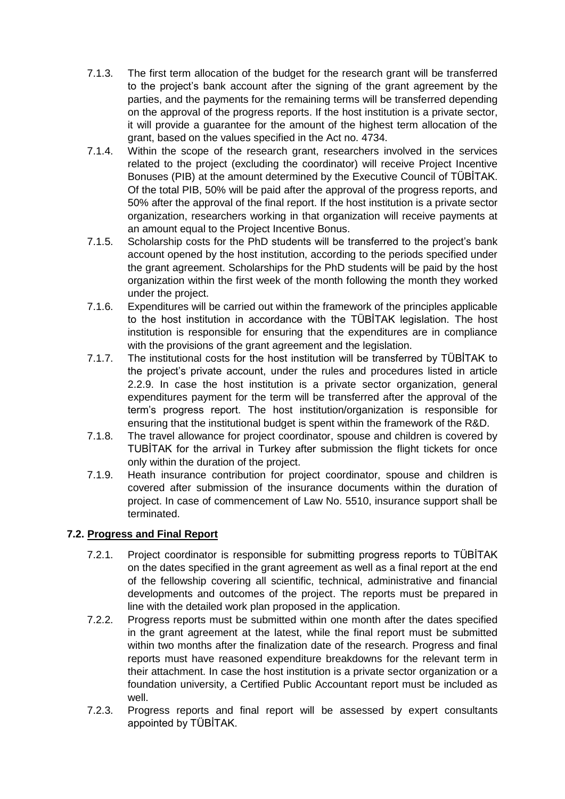- 7.1.3. The first term allocation of the budget for the research grant will be transferred to the project's bank account after the signing of the grant agreement by the parties, and the payments for the remaining terms will be transferred depending on the approval of the progress reports. If the host institution is a private sector, it will provide a guarantee for the amount of the highest term allocation of the grant, based on the values specified in the Act no. 4734.
- 7.1.4. Within the scope of the research grant, researchers involved in the services related to the project (excluding the coordinator) will receive Project Incentive Bonuses (PIB) at the amount determined by the Executive Council of TÜBİTAK. Of the total PIB, 50% will be paid after the approval of the progress reports, and 50% after the approval of the final report. If the host institution is a private sector organization, researchers working in that organization will receive payments at an amount equal to the Project Incentive Bonus.
- 7.1.5. Scholarship costs for the PhD students will be transferred to the project's bank account opened by the host institution, according to the periods specified under the grant agreement. Scholarships for the PhD students will be paid by the host organization within the first week of the month following the month they worked under the project.
- 7.1.6. Expenditures will be carried out within the framework of the principles applicable to the host institution in accordance with the TÜBİTAK legislation. The host institution is responsible for ensuring that the expenditures are in compliance with the provisions of the grant agreement and the legislation.
- 7.1.7. The institutional costs for the host institution will be transferred by TÜBİTAK to the project's private account, under the rules and procedures listed in article 2.2.9. In case the host institution is a private sector organization, general expenditures payment for the term will be transferred after the approval of the term's progress report. The host institution/organization is responsible for ensuring that the institutional budget is spent within the framework of the R&D.
- 7.1.8. The travel allowance for project coordinator, spouse and children is covered by TUBİTAK for the arrival in Turkey after submission the flight tickets for once only within the duration of the project.
- 7.1.9. Heath insurance contribution for project coordinator, spouse and children is covered after submission of the insurance documents within the duration of project. In case of commencement of Law No. 5510, insurance support shall be terminated.

# **7.2. Progress and Final Report**

- 7.2.1. Project coordinator is responsible for submitting progress reports to TÜBİTAK on the dates specified in the grant agreement as well as a final report at the end of the fellowship covering all scientific, technical, administrative and financial developments and outcomes of the project. The reports must be prepared in line with the detailed work plan proposed in the application.
- 7.2.2. Progress reports must be submitted within one month after the dates specified in the grant agreement at the latest, while the final report must be submitted within two months after the finalization date of the research. Progress and final reports must have reasoned expenditure breakdowns for the relevant term in their attachment. In case the host institution is a private sector organization or a foundation university, a Certified Public Accountant report must be included as well.
- 7.2.3. Progress reports and final report will be assessed by expert consultants appointed by TÜBİTAK.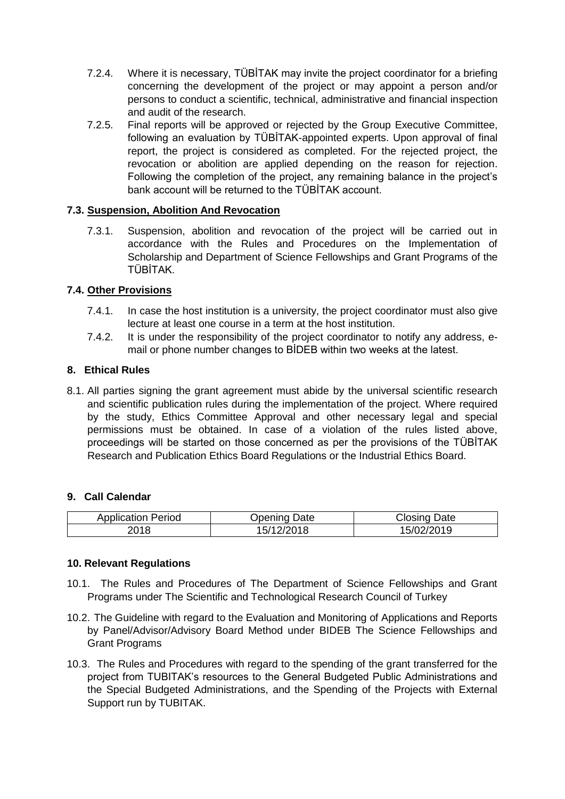- 7.2.4. Where it is necessary, TÜBİTAK may invite the project coordinator for a briefing concerning the development of the project or may appoint a person and/or persons to conduct a scientific, technical, administrative and financial inspection and audit of the research.
- 7.2.5. Final reports will be approved or rejected by the Group Executive Committee, following an evaluation by TÜBİTAK-appointed experts. Upon approval of final report, the project is considered as completed. For the rejected project, the revocation or abolition are applied depending on the reason for rejection. Following the completion of the project, any remaining balance in the project's bank account will be returned to the TÜBİTAK account.

## **7.3. Suspension, Abolition And Revocation**

7.3.1. Suspension, abolition and revocation of the project will be carried out in accordance with the Rules and Procedures on the Implementation of Scholarship and Department of Science Fellowships and Grant Programs of the TÜBİTAK.

## **7.4. Other Provisions**

- 7.4.1. In case the host institution is a university, the project coordinator must also give lecture at least one course in a term at the host institution.
- 7.4.2. It is under the responsibility of the project coordinator to notify any address, email or phone number changes to BİDEB within two weeks at the latest.

### **8. Ethical Rules**

8.1. All parties signing the grant agreement must abide by the universal scientific research and scientific publication rules during the implementation of the project. Where required by the study, Ethics Committee Approval and other necessary legal and special permissions must be obtained. In case of a violation of the rules listed above, proceedings will be started on those concerned as per the provisions of the TÜBİTAK Research and Publication Ethics Board Regulations or the Industrial Ethics Board.

### **9. Call Calendar**

| <b>Application Period</b> | Date<br>Jpening | Closing<br>Date |
|---------------------------|-----------------|-----------------|
| 2018                      | 5/              | 15/02/2019      |

### **10. Relevant Regulations**

- 10.1. The Rules and Procedures of The Department of Science Fellowships and Grant Programs under The Scientific and Technological Research Council of Turkey
- 10.2. The Guideline with regard to the Evaluation and Monitoring of Applications and Reports by Panel/Advisor/Advisory Board Method under BIDEB The Science Fellowships and Grant Programs
- 10.3. The Rules and Procedures with regard to the spending of the grant transferred for the project from TUBITAK's resources to the General Budgeted Public Administrations and the Special Budgeted Administrations, and the Spending of the Projects with External Support run by TUBITAK.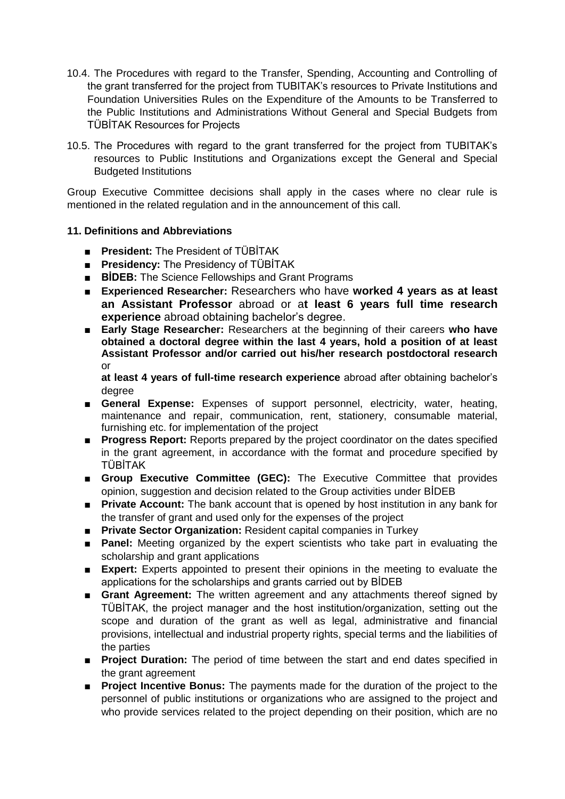- 10.4. The Procedures with regard to the Transfer, Spending, Accounting and Controlling of the grant transferred for the project from TUBITAK's resources to Private Institutions and Foundation Universities Rules on the Expenditure of the Amounts to be Transferred to the Public Institutions and Administrations Without General and Special Budgets from TÜBİTAK Resources for Projects
- 10.5. The Procedures with regard to the grant transferred for the project from TUBITAK's resources to Public Institutions and Organizations except the General and Special Budgeted Institutions

Group Executive Committee decisions shall apply in the cases where no clear rule is mentioned in the related regulation and in the announcement of this call.

## **11. Definitions and Abbreviations**

- **President:** The President of TÜBİTAK
- **Presidency:** The Presidency of TÜBİTAK
- **BİDEB:** The Science Fellowships and Grant Programs
- **Experienced Researcher:** Researchers who have **worked 4 years as at least an Assistant Professor** abroad or a**t least 6 years full time research experience** abroad obtaining bachelor's degree.
- **Early Stage Researcher:** Researchers at the beginning of their careers who have **obtained a doctoral degree within the last 4 years, hold a position of at least Assistant Professor and/or carried out his/her research postdoctoral research**  or

**at least 4 years of full-time research experience** abroad after obtaining bachelor's degree

- **General Expense:** Expenses of support personnel, electricity, water, heating, maintenance and repair, communication, rent, stationery, consumable material, furnishing etc. for implementation of the project
- **Progress Report:** Reports prepared by the project coordinator on the dates specified in the grant agreement, in accordance with the format and procedure specified by TÜBİTAK
- **Group Executive Committee (GEC):** The Executive Committee that provides opinion, suggestion and decision related to the Group activities under BİDEB
- **Private Account:** The bank account that is opened by host institution in any bank for the transfer of grant and used only for the expenses of the project
- **Private Sector Organization:** Resident capital companies in Turkey
- **Panel:** Meeting organized by the expert scientists who take part in evaluating the scholarship and grant applications
- **Expert:** Experts appointed to present their opinions in the meeting to evaluate the applications for the scholarships and grants carried out by BİDEB
- **Grant Agreement:** The written agreement and any attachments thereof signed by TÜBİTAK, the project manager and the host institution/organization, setting out the scope and duration of the grant as well as legal, administrative and financial provisions, intellectual and industrial property rights, special terms and the liabilities of the parties
- **Project Duration:** The period of time between the start and end dates specified in the grant agreement
- **Project Incentive Bonus:** The payments made for the duration of the project to the personnel of public institutions or organizations who are assigned to the project and who provide services related to the project depending on their position, which are no